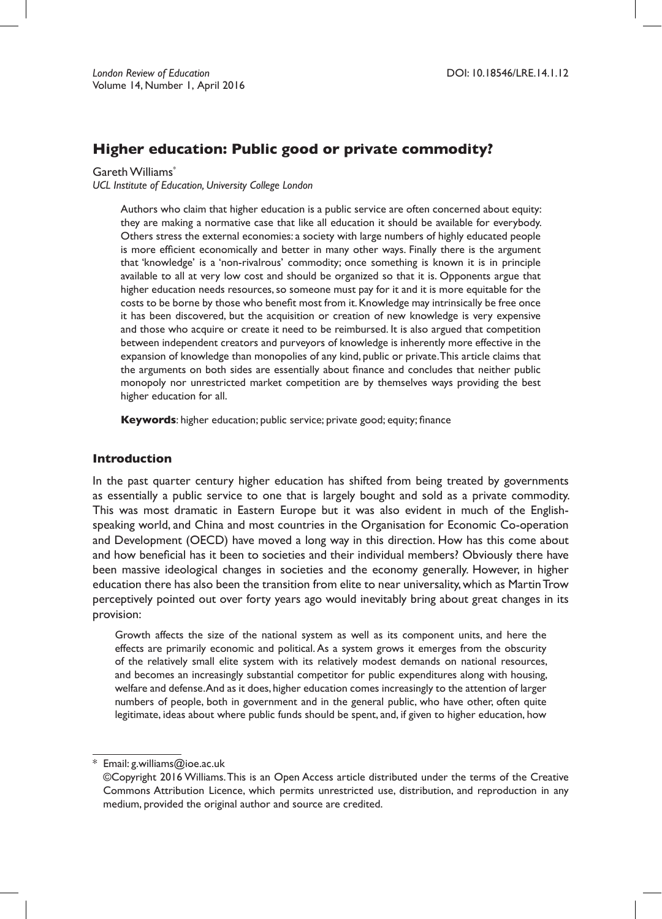# **Higher education: Public good or private commodity?**

Gareth Williams\*

*UCL Institute of Education, University College London*

Authors who claim that higher education is a public service are often concerned about equity: they are making a normative case that like all education it should be available for everybody. Others stress the external economies: a society with large numbers of highly educated people is more efficient economically and better in many other ways. Finally there is the argument that 'knowledge' is a 'non-rivalrous' commodity; once something is known it is in principle available to all at very low cost and should be organized so that it is. Opponents argue that higher education needs resources, so someone must pay for it and it is more equitable for the costs to be borne by those who benefit most from it. Knowledge may intrinsically be free once it has been discovered, but the acquisition or creation of new knowledge is very expensive and those who acquire or create it need to be reimbursed. It is also argued that competition between independent creators and purveyors of knowledge is inherently more effective in the expansion of knowledge than monopolies of any kind, public or private.This article claims that the arguments on both sides are essentially about finance and concludes that neither public monopoly nor unrestricted market competition are by themselves ways providing the best higher education for all.

**Keywords**: higher education; public service; private good; equity; finance

### **Introduction**

In the past quarter century higher education has shifted from being treated by governments as essentially a public service to one that is largely bought and sold as a private commodity. This was most dramatic in Eastern Europe but it was also evident in much of the Englishspeaking world, and China and most countries in the Organisation for Economic Co-operation and Development (OECD) have moved a long way in this direction. How has this come about and how beneficial has it been to societies and their individual members? Obviously there have been massive ideological changes in societies and the economy generally. However, in higher education there has also been the transition from elite to near universality,which as MartinTrow perceptively pointed out over forty years ago would inevitably bring about great changes in its provision:

Growth affects the size of the national system as well as its component units, and here the effects are primarily economic and political.As a system grows it emerges from the obscurity of the relatively small elite system with its relatively modest demands on national resources, and becomes an increasingly substantial competitor for public expenditures along with housing, welfare and defense.And as it does, higher education comes increasingly to the attention of larger numbers of people, both in government and in the general public, who have other, often quite legitimate, ideas about where public funds should be spent, and, if given to higher education, how

<sup>\*</sup> Email: g.williams@ioe.ac.uk

<sup>©</sup>Copyright 2016 Williams.This is an Open Access article distributed under the terms of the Creative Commons Attribution Licence, which permits unrestricted use, distribution, and reproduction in any medium, provided the original author and source are credited.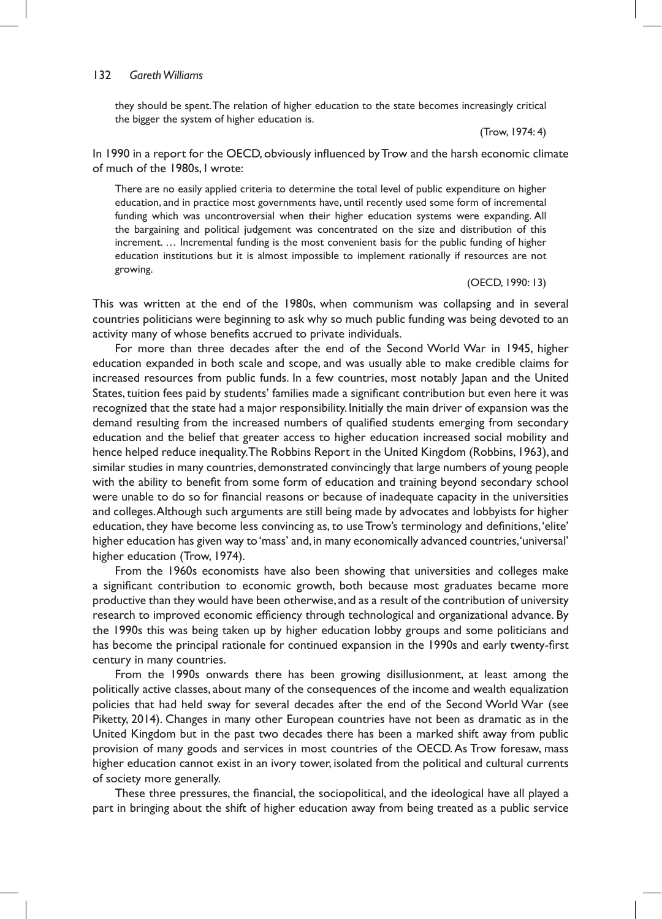#### 132 *Gareth Williams*

they should be spent.The relation of higher education to the state becomes increasingly critical the bigger the system of higher education is.

(Trow, 1974: 4)

In 1990 in a report for the OECD, obviously influenced by Trow and the harsh economic climate of much of the 1980s, I wrote:

There are no easily applied criteria to determine the total level of public expenditure on higher education, and in practice most governments have, until recently used some form of incremental funding which was uncontroversial when their higher education systems were expanding. All the bargaining and political judgement was concentrated on the size and distribution of this increment. … Incremental funding is the most convenient basis for the public funding of higher education institutions but it is almost impossible to implement rationally if resources are not growing.

#### (OECD, 1990: 13)

This was written at the end of the 1980s, when communism was collapsing and in several countries politicians were beginning to ask why so much public funding was being devoted to an activity many of whose benefits accrued to private individuals.

For more than three decades after the end of the Second World War in 1945, higher education expanded in both scale and scope, and was usually able to make credible claims for increased resources from public funds. In a few countries, most notably Japan and the United States,tuition fees paid by students' families made a significant contribution but even here it was recognized that the state had a major responsibility. Initially the main driver of expansion was the demand resulting from the increased numbers of qualified students emerging from secondary education and the belief that greater access to higher education increased social mobility and hence helped reduce inequality.The Robbins Report in the United Kingdom (Robbins, 1963), and similar studies in many countries, demonstrated convincingly that large numbers of young people with the ability to benefit from some form of education and training beyond secondary school were unable to do so for financial reasons or because of inadequate capacity in the universities and colleges.Although such arguments are still being made by advocates and lobbyists for higher education, they have become less convincing as, to use Trow's terminology and definitions,'elite' higher education has given way to 'mass' and, in many economically advanced countries, 'universal' higher education (Trow, 1974).

From the 1960s economists have also been showing that universities and colleges make a significant contribution to economic growth, both because most graduates became more productive than they would have been otherwise, and as a result of the contribution of university research to improved economic efficiency through technological and organizational advance. By the 1990s this was being taken up by higher education lobby groups and some politicians and has become the principal rationale for continued expansion in the 1990s and early twenty-first century in many countries.

From the 1990s onwards there has been growing disillusionment, at least among the politically active classes, about many of the consequences of the income and wealth equalization policies that had held sway for several decades after the end of the Second World War (see Piketty, 2014). Changes in many other European countries have not been as dramatic as in the United Kingdom but in the past two decades there has been a marked shift away from public provision of many goods and services in most countries of the OECD.As Trow foresaw, mass higher education cannot exist in an ivory tower, isolated from the political and cultural currents of society more generally.

These three pressures, the financial, the sociopolitical, and the ideological have all played a part in bringing about the shift of higher education away from being treated as a public service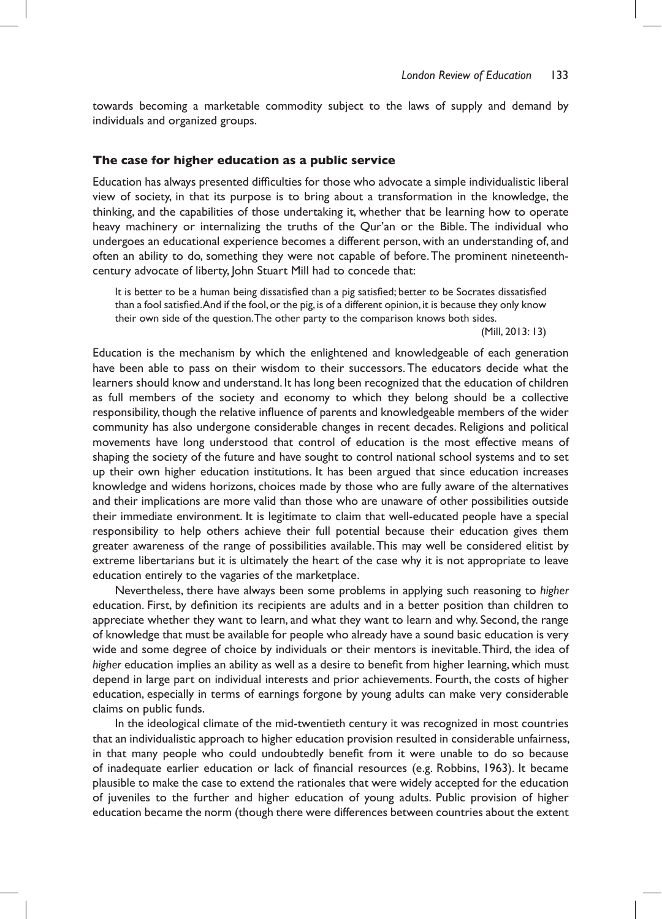towards becoming a marketable commodity subject to the laws of supply and demand by individuals and organized groups.

#### **The case for higher education as a public service**

Education has always presented difficulties for those who advocate a simple individualistic liberal view of society, in that its purpose is to bring about a transformation in the knowledge, the thinking, and the capabilities of those undertaking it, whether that be learning how to operate heavy machinery or internalizing the truths of the Qur'an or the Bible. The individual who undergoes an educational experience becomes a different person, with an understanding of, and often an ability to do, something they were not capable of before.The prominent nineteenthcentury advocate of liberty, John Stuart Mill had to concede that:

It is better to be a human being dissatisfied than a pig satisfied; better to be Socrates dissatisfied than a fool satisfied.And if the fool,or the pig, is of a different opinion, it is because they only know their own side of the question.The other party to the comparison knows both sides.

(Mill, 2013: 13)

Education is the mechanism by which the enlightened and knowledgeable of each generation have been able to pass on their wisdom to their successors. The educators decide what the learners should know and understand. It has long been recognized that the education of children as full members of the society and economy to which they belong should be a collective responsibility, though the relative influence of parents and knowledgeable members of the wider community has also undergone considerable changes in recent decades. Religions and political movements have long understood that control of education is the most effective means of shaping the society of the future and have sought to control national school systems and to set up their own higher education institutions. It has been argued that since education increases knowledge and widens horizons, choices made by those who are fully aware of the alternatives and their implications are more valid than those who are unaware of other possibilities outside their immediate environment. It is legitimate to claim that well-educated people have a special responsibility to help others achieve their full potential because their education gives them greater awareness of the range of possibilities available.This may well be considered elitist by extreme libertarians but it is ultimately the heart of the case why it is not appropriate to leave education entirely to the vagaries of the marketplace.

Nevertheless, there have always been some problems in applying such reasoning to *higher* education. First, by definition its recipients are adults and in a better position than children to appreciate whether they want to learn, and what they want to learn and why. Second, the range of knowledge that must be available for people who already have a sound basic education is very wide and some degree of choice by individuals or their mentors is inevitable.Third, the idea of *higher* education implies an ability as well as a desire to benefit from higher learning, which must depend in large part on individual interests and prior achievements. Fourth, the costs of higher education, especially in terms of earnings forgone by young adults can make very considerable claims on public funds.

In the ideological climate of the mid-twentieth century it was recognized in most countries that an individualistic approach to higher education provision resulted in considerable unfairness, in that many people who could undoubtedly benefit from it were unable to do so because of inadequate earlier education or lack of financial resources (e.g. Robbins, 1963). It became plausible to make the case to extend the rationales that were widely accepted for the education of juveniles to the further and higher education of young adults. Public provision of higher education became the norm (though there were differences between countries about the extent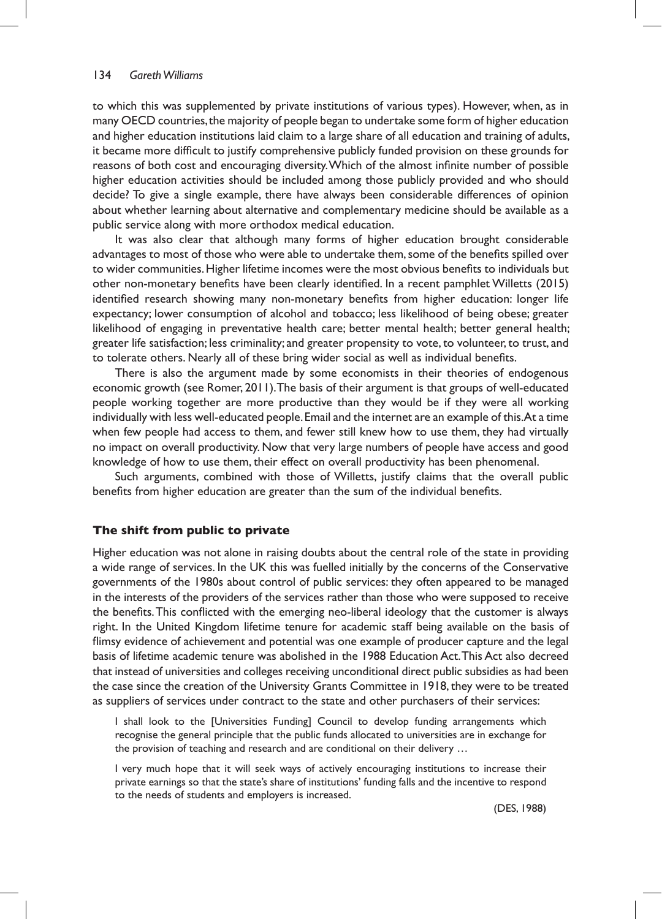to which this was supplemented by private institutions of various types). However, when, as in many OECD countries,the majority of people began to undertake some form of higher education and higher education institutions laid claim to a large share of all education and training of adults, it became more difficult to justify comprehensive publicly funded provision on these grounds for reasons of both cost and encouraging diversity.Which of the almost infinite number of possible higher education activities should be included among those publicly provided and who should decide? To give a single example, there have always been considerable differences of opinion about whether learning about alternative and complementary medicine should be available as a public service along with more orthodox medical education.

It was also clear that although many forms of higher education brought considerable advantages to most of those who were able to undertake them, some of the benefits spilled over to wider communities.Higher lifetime incomes were the most obvious benefits to individuals but other non-monetary benefits have been clearly identified. In a recent pamphlet Willetts (2015) identified research showing many non-monetary benefits from higher education: longer life expectancy; lower consumption of alcohol and tobacco; less likelihood of being obese; greater likelihood of engaging in preventative health care; better mental health; better general health; greater life satisfaction; less criminality; and greater propensity to vote,to volunteer,to trust, and to tolerate others. Nearly all of these bring wider social as well as individual benefits.

There is also the argument made by some economists in their theories of endogenous economic growth (see Romer, 2011).The basis of their argument is that groups of well-educated people working together are more productive than they would be if they were all working individually with less well-educated people.Email and the internet are an example of this.At a time when few people had access to them, and fewer still knew how to use them, they had virtually no impact on overall productivity. Now that very large numbers of people have access and good knowledge of how to use them, their effect on overall productivity has been phenomenal.

Such arguments, combined with those of Willetts, justify claims that the overall public benefits from higher education are greater than the sum of the individual benefits.

## **The shift from public to private**

Higher education was not alone in raising doubts about the central role of the state in providing a wide range of services. In the UK this was fuelled initially by the concerns of the Conservative governments of the 1980s about control of public services: they often appeared to be managed in the interests of the providers of the services rather than those who were supposed to receive the benefits.This conflicted with the emerging neo-liberal ideology that the customer is always right. In the United Kingdom lifetime tenure for academic staff being available on the basis of flimsy evidence of achievement and potential was one example of producer capture and the legal basis of lifetime academic tenure was abolished in the 1988 Education Act.This Act also decreed that instead of universities and colleges receiving unconditional direct public subsidies as had been the case since the creation of the University Grants Committee in 1918,they were to be treated as suppliers of services under contract to the state and other purchasers of their services:

I shall look to the [Universities Funding] Council to develop funding arrangements which recognise the general principle that the public funds allocated to universities are in exchange for the provision of teaching and research and are conditional on their delivery …

I very much hope that it will seek ways of actively encouraging institutions to increase their private earnings so that the state's share of institutions' funding falls and the incentive to respond to the needs of students and employers is increased.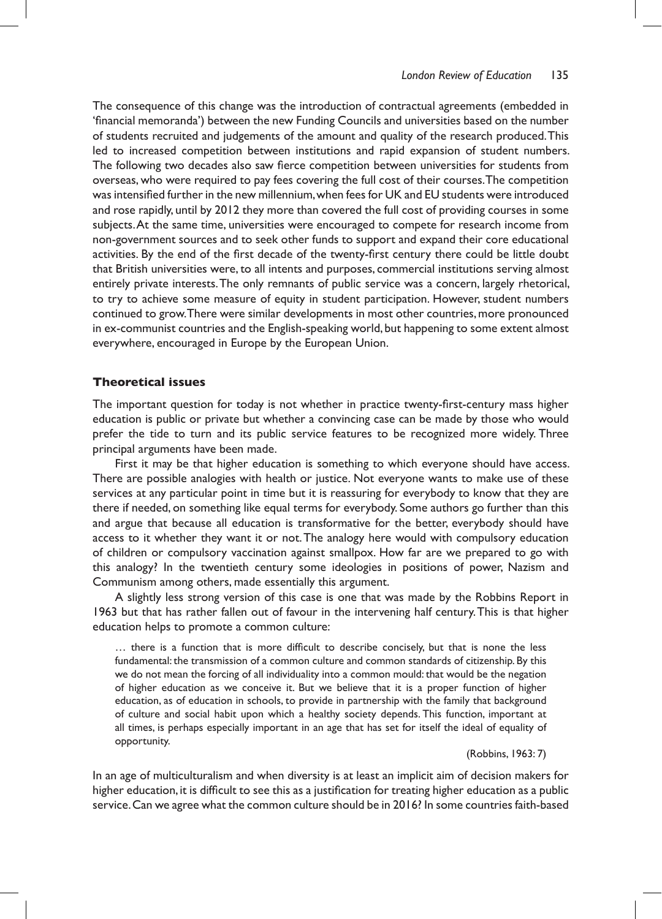The consequence of this change was the introduction of contractual agreements (embedded in 'financial memoranda') between the new Funding Councils and universities based on the number of students recruited and judgements of the amount and quality of the research produced.This led to increased competition between institutions and rapid expansion of student numbers. The following two decades also saw fierce competition between universities for students from overseas, who were required to pay fees covering the full cost of their courses.The competition was intensified further in the new millennium, when fees for UK and EU students were introduced and rose rapidly, until by 2012 they more than covered the full cost of providing courses in some subjects.At the same time, universities were encouraged to compete for research income from non-government sources and to seek other funds to support and expand their core educational activities. By the end of the first decade of the twenty-first century there could be little doubt that British universities were, to all intents and purposes, commercial institutions serving almost entirely private interests.The only remnants of public service was a concern, largely rhetorical, to try to achieve some measure of equity in student participation. However, student numbers continued to grow.There were similar developments in most other countries,more pronounced in ex-communist countries and the English-speaking world, but happening to some extent almost everywhere, encouraged in Europe by the European Union.

### **Theoretical issues**

The important question for today is not whether in practice twenty-first-century mass higher education is public or private but whether a convincing case can be made by those who would prefer the tide to turn and its public service features to be recognized more widely. Three principal arguments have been made.

First it may be that higher education is something to which everyone should have access. There are possible analogies with health or justice. Not everyone wants to make use of these services at any particular point in time but it is reassuring for everybody to know that they are there if needed, on something like equal terms for everybody. Some authors go further than this and argue that because all education is transformative for the better, everybody should have access to it whether they want it or not.The analogy here would with compulsory education of children or compulsory vaccination against smallpox. How far are we prepared to go with this analogy? In the twentieth century some ideologies in positions of power, Nazism and Communism among others, made essentially this argument.

A slightly less strong version of this case is one that was made by the Robbins Report in 1963 but that has rather fallen out of favour in the intervening half century.This is that higher education helps to promote a common culture:

… there is a function that is more difficult to describe concisely, but that is none the less fundamental: the transmission of a common culture and common standards of citizenship. By this we do not mean the forcing of all individuality into a common mould: that would be the negation of higher education as we conceive it. But we believe that it is a proper function of higher education, as of education in schools, to provide in partnership with the family that background of culture and social habit upon which a healthy society depends. This function, important at all times, is perhaps especially important in an age that has set for itself the ideal of equality of opportunity.

(Robbins, 1963: 7)

In an age of multiculturalism and when diversity is at least an implicit aim of decision makers for higher education, it is difficult to see this as a justification for treating higher education as a public service.Can we agree what the common culture should be in 2016? In some countries faith-based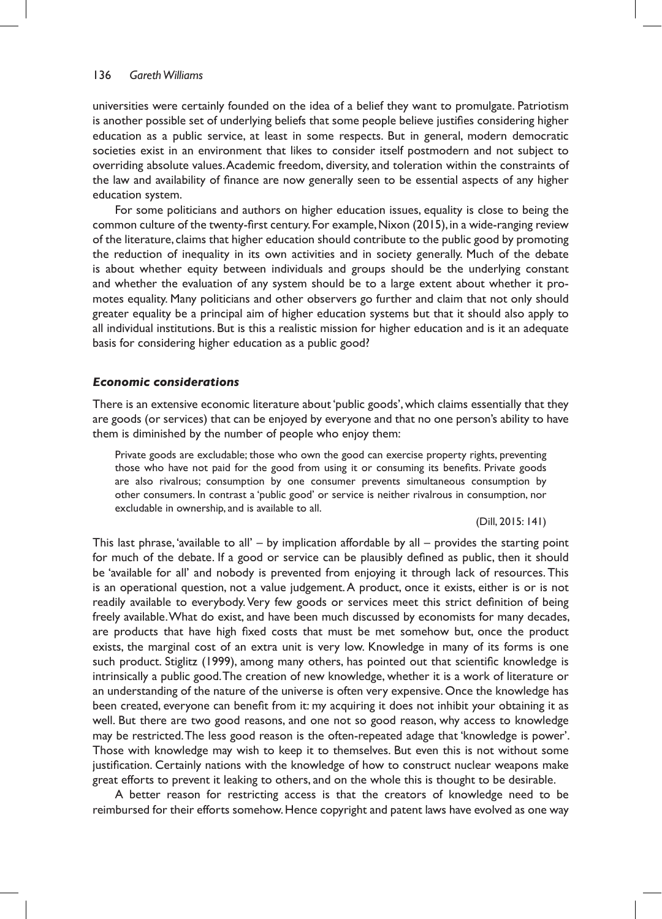universities were certainly founded on the idea of a belief they want to promulgate. Patriotism is another possible set of underlying beliefs that some people believe justifies considering higher education as a public service, at least in some respects. But in general, modern democratic societies exist in an environment that likes to consider itself postmodern and not subject to overriding absolute values.Academic freedom, diversity, and toleration within the constraints of the law and availability of finance are now generally seen to be essential aspects of any higher education system.

For some politicians and authors on higher education issues, equality is close to being the common culture of the twenty-first century. For example,Nixon (2015), in a wide-ranging review of the literature, claims that higher education should contribute to the public good by promoting the reduction of inequality in its own activities and in society generally. Much of the debate is about whether equity between individuals and groups should be the underlying constant and whether the evaluation of any system should be to a large extent about whether it promotes equality. Many politicians and other observers go further and claim that not only should greater equality be a principal aim of higher education systems but that it should also apply to all individual institutions. But is this a realistic mission for higher education and is it an adequate basis for considering higher education as a public good?

### *Economic considerations*

There is an extensive economic literature about'public goods', which claims essentially that they are goods (or services) that can be enjoyed by everyone and that no one person's ability to have them is diminished by the number of people who enjoy them:

Private goods are excludable; those who own the good can exercise property rights, preventing those who have not paid for the good from using it or consuming its benefits. Private goods are also rivalrous; consumption by one consumer prevents simultaneous consumption by other consumers. In contrast a 'public good' or service is neither rivalrous in consumption, nor excludable in ownership, and is available to all.

(Dill, 2015: 141)

This last phrase, 'available to all' – by implication affordable by all – provides the starting point for much of the debate. If a good or service can be plausibly defined as public, then it should be 'available for all' and nobody is prevented from enjoying it through lack of resources.This is an operational question, not a value judgement.A product, once it exists, either is or is not readily available to everybody.Very few goods or services meet this strict definition of being freely available.What do exist, and have been much discussed by economists for many decades, are products that have high fixed costs that must be met somehow but, once the product exists, the marginal cost of an extra unit is very low. Knowledge in many of its forms is one such product. Stiglitz (1999), among many others, has pointed out that scientific knowledge is intrinsically a public good.The creation of new knowledge, whether it is a work of literature or an understanding of the nature of the universe is often very expensive. Once the knowledge has been created, everyone can benefit from it: my acquiring it does not inhibit your obtaining it as well. But there are two good reasons, and one not so good reason, why access to knowledge may be restricted.The less good reason is the often-repeated adage that 'knowledge is power'. Those with knowledge may wish to keep it to themselves. But even this is not without some justification. Certainly nations with the knowledge of how to construct nuclear weapons make great efforts to prevent it leaking to others, and on the whole this is thought to be desirable.

A better reason for restricting access is that the creators of knowledge need to be reimbursed for their efforts somehow. Hence copyright and patent laws have evolved as one way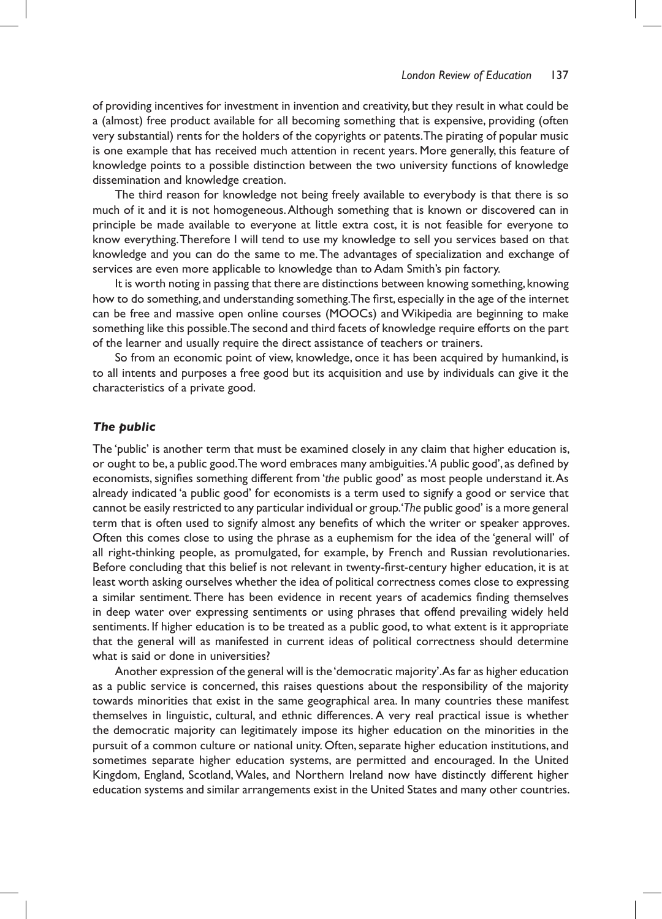of providing incentives for investment in invention and creativity, but they result in what could be a (almost) free product available for all becoming something that is expensive, providing (often very substantial) rents for the holders of the copyrights or patents.The pirating of popular music is one example that has received much attention in recent years. More generally, this feature of knowledge points to a possible distinction between the two university functions of knowledge dissemination and knowledge creation.

The third reason for knowledge not being freely available to everybody is that there is so much of it and it is not homogeneous.Although something that is known or discovered can in principle be made available to everyone at little extra cost, it is not feasible for everyone to know everything.Therefore I will tend to use my knowledge to sell you services based on that knowledge and you can do the same to me.The advantages of specialization and exchange of services are even more applicable to knowledge than to Adam Smith's pin factory.

It is worth noting in passing that there are distinctions between knowing something, knowing how to do something, and understanding something.The first, especially in the age of the internet can be free and massive open online courses (MOOCs) and Wikipedia are beginning to make something like this possible.The second and third facets of knowledge require efforts on the part of the learner and usually require the direct assistance of teachers or trainers.

So from an economic point of view, knowledge, once it has been acquired by humankind, is to all intents and purposes a free good but its acquisition and use by individuals can give it the characteristics of a private good.

## *The public*

The 'public' is another term that must be examined closely in any claim that higher education is, or ought to be, a public good.The word embraces many ambiguities.'*A* public good', as defined by economists, signifies something different from 'the public good' as most people understand it.As already indicated 'a public good' for economists is a term used to signify a good or service that cannot be easily restricted to any particularindividual or group.'*The* public good' is a more general term that is often used to signify almost any benefits of which the writer or speaker approves. Often this comes close to using the phrase as a euphemism for the idea of the 'general will' of all right-thinking people, as promulgated, for example, by French and Russian revolutionaries. Before concluding that this belief is not relevant in twenty-first-century higher education, it is at least worth asking ourselves whether the idea of political correctness comes close to expressing a similar sentiment.There has been evidence in recent years of academics finding themselves in deep water over expressing sentiments or using phrases that offend prevailing widely held sentiments. If higher education is to be treated as a public good, to what extent is it appropriate that the general will as manifested in current ideas of political correctness should determine what is said or done in universities?

Another expression of the general will is the'democratic majority'.As far as higher education as a public service is concerned, this raises questions about the responsibility of the majority towards minorities that exist in the same geographical area. In many countries these manifest themselves in linguistic, cultural, and ethnic differences. A very real practical issue is whether the democratic majority can legitimately impose its higher education on the minorities in the pursuit of a common culture or national unity. Often, separate higher education institutions, and sometimes separate higher education systems, are permitted and encouraged. In the United Kingdom, England, Scotland,Wales, and Northern Ireland now have distinctly different higher education systems and similar arrangements exist in the United States and many other countries.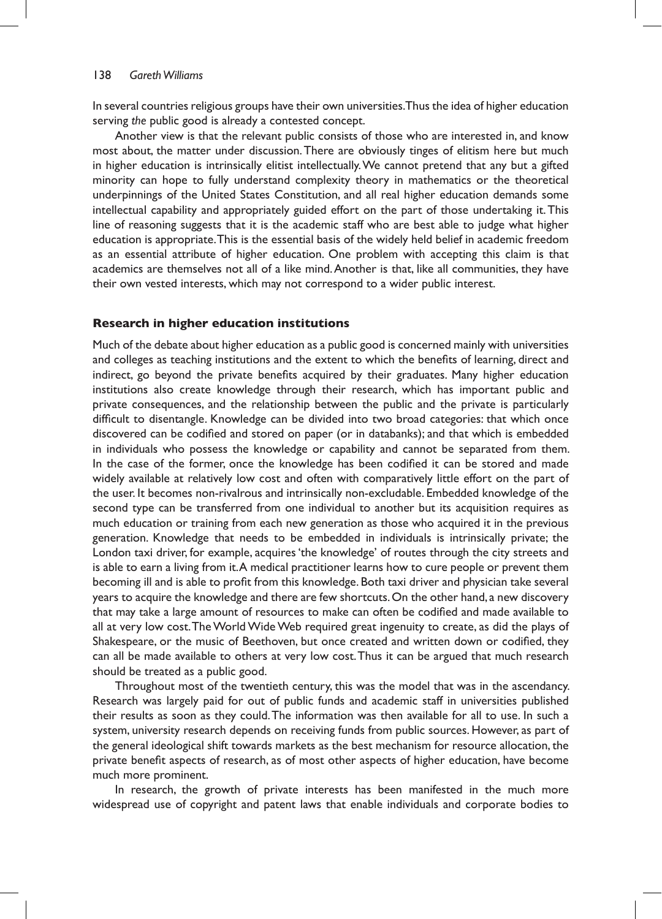In several countries religious groups have their own universities.Thus the idea of higher education serving *the* public good is already a contested concept.

Another view is that the relevant public consists of those who are interested in, and know most about, the matter under discussion.There are obviously tinges of elitism here but much in higher education is intrinsically elitist intellectually.We cannot pretend that any but a gifted minority can hope to fully understand complexity theory in mathematics or the theoretical underpinnings of the United States Constitution, and all real higher education demands some intellectual capability and appropriately guided effort on the part of those undertaking it.This line of reasoning suggests that it is the academic staff who are best able to judge what higher education is appropriate.This is the essential basis of the widely held belief in academic freedom as an essential attribute of higher education. One problem with accepting this claim is that academics are themselves not all of a like mind.Another is that, like all communities, they have their own vested interests, which may not correspond to a wider public interest.

### **Research in higher education institutions**

Much of the debate about higher education as a public good is concerned mainly with universities and colleges as teaching institutions and the extent to which the benefits of learning, direct and indirect, go beyond the private benefits acquired by their graduates. Many higher education institutions also create knowledge through their research, which has important public and private consequences, and the relationship between the public and the private is particularly difficult to disentangle. Knowledge can be divided into two broad categories: that which once discovered can be codified and stored on paper (or in databanks); and that which is embedded in individuals who possess the knowledge or capability and cannot be separated from them. In the case of the former, once the knowledge has been codified it can be stored and made widely available at relatively low cost and often with comparatively little effort on the part of the user. It becomes non-rivalrous and intrinsically non-excludable. Embedded knowledge of the second type can be transferred from one individual to another but its acquisition requires as much education or training from each new generation as those who acquired it in the previous generation. Knowledge that needs to be embedded in individuals is intrinsically private; the London taxi driver, for example, acquires 'the knowledge' of routes through the city streets and is able to earn a living from it.A medical practitioner learns how to cure people or prevent them becoming ill and is able to profit from this knowledge. Both taxi driver and physician take several years to acquire the knowledge and there are few shortcuts.On the other hand, a new discovery that may take a large amount of resources to make can often be codified and made available to all at very low cost.TheWorldWideWeb required great ingenuity to create, as did the plays of Shakespeare, or the music of Beethoven, but once created and written down or codified, they can all be made available to others at very low cost.Thus it can be argued that much research should be treated as a public good.

Throughout most of the twentieth century, this was the model that was in the ascendancy. Research was largely paid for out of public funds and academic staff in universities published their results as soon as they could.The information was then available for all to use. In such a system, university research depends on receiving funds from public sources. However, as part of the general ideological shift towards markets as the best mechanism for resource allocation, the private benefit aspects of research, as of most other aspects of higher education, have become much more prominent.

In research, the growth of private interests has been manifested in the much more widespread use of copyright and patent laws that enable individuals and corporate bodies to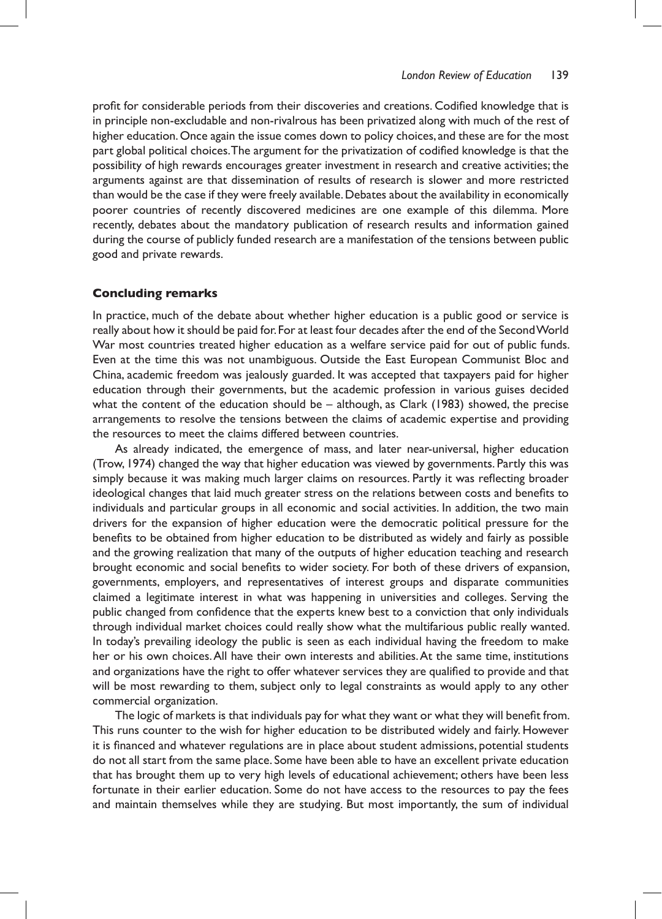profit for considerable periods from their discoveries and creations. Codified knowledge that is in principle non-excludable and non-rivalrous has been privatized along with much of the rest of higher education.Once again the issue comes down to policy choices, and these are for the most part global political choices.The argument for the privatization of codified knowledge is that the possibility of high rewards encourages greater investment in research and creative activities; the arguments against are that dissemination of results of research is slower and more restricted than would be the case if they were freely available.Debates about the availability in economically poorer countries of recently discovered medicines are one example of this dilemma. More recently, debates about the mandatory publication of research results and information gained during the course of publicly funded research are a manifestation of the tensions between public good and private rewards.

### **Concluding remarks**

In practice, much of the debate about whether higher education is a public good or service is really about how it should be paid for.For at least four decades after the end of the SecondWorld War most countries treated higher education as a welfare service paid for out of public funds. Even at the time this was not unambiguous. Outside the East European Communist Bloc and China, academic freedom was jealously guarded. It was accepted that taxpayers paid for higher education through their governments, but the academic profession in various guises decided what the content of the education should be – although, as Clark (1983) showed, the precise arrangements to resolve the tensions between the claims of academic expertise and providing the resources to meet the claims differed between countries.

As already indicated, the emergence of mass, and later near-universal, higher education (Trow, 1974) changed the way that higher education was viewed by governments. Partly this was simply because it was making much larger claims on resources. Partly it was reflecting broader ideological changes that laid much greater stress on the relations between costs and benefits to individuals and particular groups in all economic and social activities. In addition, the two main drivers for the expansion of higher education were the democratic political pressure for the benefits to be obtained from higher education to be distributed as widely and fairly as possible and the growing realization that many of the outputs of higher education teaching and research brought economic and social benefits to wider society. For both of these drivers of expansion, governments, employers, and representatives of interest groups and disparate communities claimed a legitimate interest in what was happening in universities and colleges. Serving the public changed from confidence that the experts knew best to a conviction that only individuals through individual market choices could really show what the multifarious public really wanted. In today's prevailing ideology the public is seen as each individual having the freedom to make her or his own choices.All have their own interests and abilities.At the same time, institutions and organizations have the right to offer whatever services they are qualified to provide and that will be most rewarding to them, subject only to legal constraints as would apply to any other commercial organization.

The logic of markets is that individuals pay for what they want or what they will benefit from. This runs counter to the wish for higher education to be distributed widely and fairly. However it is financed and whatever regulations are in place about student admissions, potential students do not all start from the same place. Some have been able to have an excellent private education that has brought them up to very high levels of educational achievement; others have been less fortunate in their earlier education. Some do not have access to the resources to pay the fees and maintain themselves while they are studying. But most importantly, the sum of individual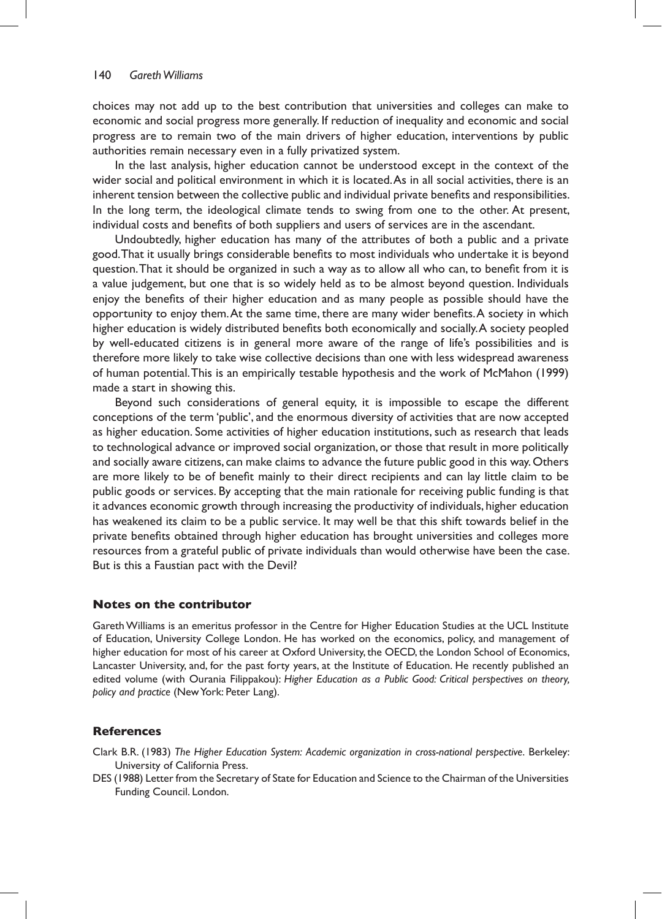choices may not add up to the best contribution that universities and colleges can make to economic and social progress more generally. If reduction of inequality and economic and social progress are to remain two of the main drivers of higher education, interventions by public authorities remain necessary even in a fully privatized system.

In the last analysis, higher education cannot be understood except in the context of the wider social and political environment in which it is located.As in all social activities, there is an inherent tension between the collective public and individual private benefits and responsibilities. In the long term, the ideological climate tends to swing from one to the other. At present, individual costs and benefits of both suppliers and users of services are in the ascendant.

Undoubtedly, higher education has many of the attributes of both a public and a private good.That it usually brings considerable benefits to most individuals who undertake it is beyond question.That it should be organized in such a way as to allow all who can, to benefit from it is a value judgement, but one that is so widely held as to be almost beyond question. Individuals enjoy the benefits of their higher education and as many people as possible should have the opportunity to enjoy them.At the same time, there are many wider benefits.A society in which higher education is widely distributed benefits both economically and socially.A society peopled by well-educated citizens is in general more aware of the range of life's possibilities and is therefore more likely to take wise collective decisions than one with less widespread awareness of human potential.This is an empirically testable hypothesis and the work of McMahon (1999) made a start in showing this.

Beyond such considerations of general equity, it is impossible to escape the different conceptions of the term 'public', and the enormous diversity of activities that are now accepted as higher education. Some activities of higher education institutions, such as research that leads to technological advance or improved social organization, or those that result in more politically and socially aware citizens, can make claims to advance the future public good in this way. Others are more likely to be of benefit mainly to their direct recipients and can lay little claim to be public goods or services. By accepting that the main rationale for receiving public funding is that it advances economic growth through increasing the productivity of individuals, higher education has weakened its claim to be a public service. It may well be that this shift towards belief in the private benefits obtained through higher education has brought universities and colleges more resources from a grateful public of private individuals than would otherwise have been the case. But is this a Faustian pact with the Devil?

### **Notes on the contributor**

GarethWilliams is an emeritus professor in the Centre for Higher Education Studies at the UCL Institute of Education, University College London. He has worked on the economics, policy, and management of higher education for most of his career at Oxford University, the OECD, the London School of Economics, Lancaster University, and, for the past forty years, at the Institute of Education. He recently published an edited volume (with Ourania Filippakou): *Higher Education as a Public Good: Critical perspectives on theory, policy and practice* (NewYork: Peter Lang).

## **References**

- Clark B.R. (1983) *The Higher Education System: Academic organization in cross-national perspective*. Berkeley: University of California Press.
- DES (1988) Letter from the Secretary of State for Education and Science to the Chairman of the Universities Funding Council. London.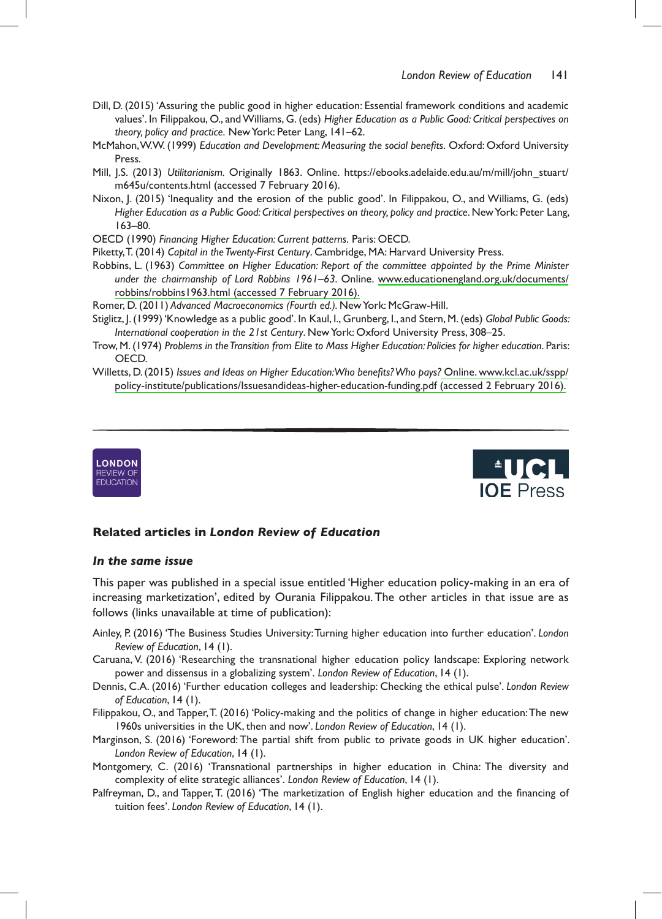- Dill, D. (2015) 'Assuring the public good in higher education: Essential framework conditions and academic values'. In Filippakou, O., and Williams, G. (eds) Higher Education as a Public Good: Critical perspectives on theory, policy and practice. New York: Peter Lang, 141–62.
- McMahon, W.W. (1999) Education and Development: Measuring the social benefits. Oxford: Oxford University Press.
- Mill, J.S. (2013) *Utilitarianism.* Originally 1863. Online. https://ebooks.adelaide.edu.au/m/mill/john\_stuart/ m645u/contents.html (accessed 7 February 2016).
- Nixon, J. (2015) 'Inequality and the erosion of the public good'. In Filippakou, O., and Williams, G. (eds) Higher Education as a Public Good: Critical perspectives on theory, policy and practice. New York: Peter Lang, 163–80.
- OECD(1990)*Financing Higher Education: Current patterns*. Paris:OECD.
- Piketty, T. (2014) Capital in the Twenty-First Century. Cambridge, MA: Harvard University Press.
- Robbins,L. (1963)*Committee on Higher Education: Report of the committee appointed by the Prime Minister under the chairmanship of Lord Robbins 1961–63.* Online. [www.educationengland.org.uk/documents/](http://www.educationengland.org.uk/documents/robbins/robbins1963.html) robbins/robbins1963.html (accessed 7 February 2016).
- Romer, D. (2011) Advanced Macroeconomics (Fourth ed.). New York: McGraw-Hill.
- Stiglitz, I. (1999) 'Knowledge as a public good'. In Kaul, I., Grunberg, I., and Stern, M. (eds) Global Public Goods: *International cooperation in the 21st Century*. New York: Oxford University Press, 308–25.
- Trow,M.(1974)*Problems in the Transition from Elite to Mass Higher Education: Policies for higher education*.Paris: OECD.
- Willetts,D.(2015)*Issues and Ideas on Higher Education: Who benefi ts? Who pays?*[Online.www.kcl.ac.uk/sspp/](http://www.kcl.ac.uk/sspp/policy-institute/publications/Issuesandideas-higher-education-funding.pdf) policy-institute/publications/Issuesandideas-higher-education-funding.pdf (accessed 2 February 2016).





### **Related articles in** *London Review of Education*

#### *In the same issue*

This paper was published in a special issue entitled 'Higher education policy-making in an era of increasing marketization', edited by Ourania Filippakou. The other articles in that issue are as follows (links unavailable at time of publication):

- Ainley, P. (2016) 'The Business Studies University: Turning higher education into further education'. London *Review of Education*,14(1).
- Caruana,V. (2016)'Researching the transnational higher education policy landscape: Exploring network power and dissensus in a globalizing system'. London Review of Education, 14 (1).
- Dennis, C.A. (2016) 'Further education colleges and leadership: Checking the ethical pulse'. London Review *of Education*,14(1).
- Filippakou, O., and Tapper, T. (2016) 'Policy-making and the politics of change in higher education: The new 1960s universities in the UK, then and now'. London Review of Education, 14 (1).
- Marginson, S. (2016)'Foreword:The partial shift from public to private goods in UK higher education'. *London Review of Education*,14(1).
- Montgomery, C. (2016) 'Transnational partnerships in higher education in China: The diversity and complexity of elite strategic alliances'. London Review of Education, 14 (1).
- Palfreyman, D., and Tapper, T. (2016) 'The marketization of English higher education and the financing of tuition fees'. London Review of Education, 14 (1).